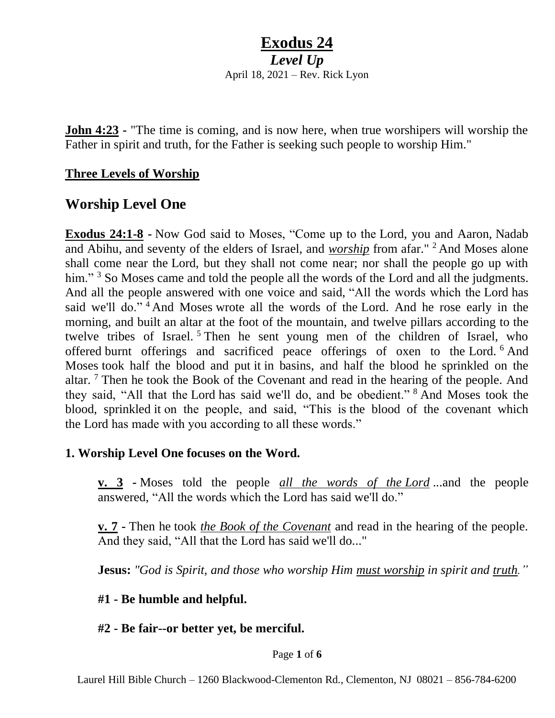*Level Up* April 18, 2021 – Rev. Rick Lyon

**John 4:23 -** "The time is coming, and is now here, when true worshipers will worship the Father in spirit and truth, for the Father is seeking such people to worship Him."

#### **Three Levels of Worship**

### **Worship Level One**

**Exodus 24:1-8 -** Now God said to Moses, "Come up to the Lord, you and Aaron, Nadab and Abihu, and seventy of the elders of Israel, and *worship* from afar." <sup>2</sup> And Moses alone shall come near the Lord, but they shall not come near; nor shall the people go up with him." <sup>3</sup> So Moses came and told the people all the words of the Lord and all the judgments. And all the people answered with one voice and said, "All the words which the Lord has said we'll do."<sup>4</sup> And Moses wrote all the words of the Lord. And he rose early in the morning, and built an altar at the foot of the mountain, and twelve pillars according to the twelve tribes of Israel.<sup>5</sup> Then he sent young men of the children of Israel, who offered burnt offerings and sacrificed peace offerings of oxen to the Lord. <sup>6</sup> And Moses took half the blood and put it in basins, and half the blood he sprinkled on the altar. <sup>7</sup> Then he took the Book of the Covenant and read in the hearing of the people. And they said, "All that the Lord has said we'll do, and be obedient." <sup>8</sup> And Moses took the blood, sprinkled it on the people, and said, "This is the blood of the covenant which the Lord has made with you according to all these words."

### **1. Worship Level One focuses on the Word.**

**v. 3 -** Moses told the people *all the words of the Lord* ...and the people answered, "All the words which the Lord has said we'll do."

**v. 7 -** Then he took *the Book of the Covenant* and read in the hearing of the people. And they said, "All that the Lord has said we'll do..."

**Jesus:** *"God is Spirit, and those who worship Him must worship in spirit and truth."*

#### **#1 - Be humble and helpful.**

#### **#2 - Be fair--or better yet, be merciful.**

#### Page **1** of **6**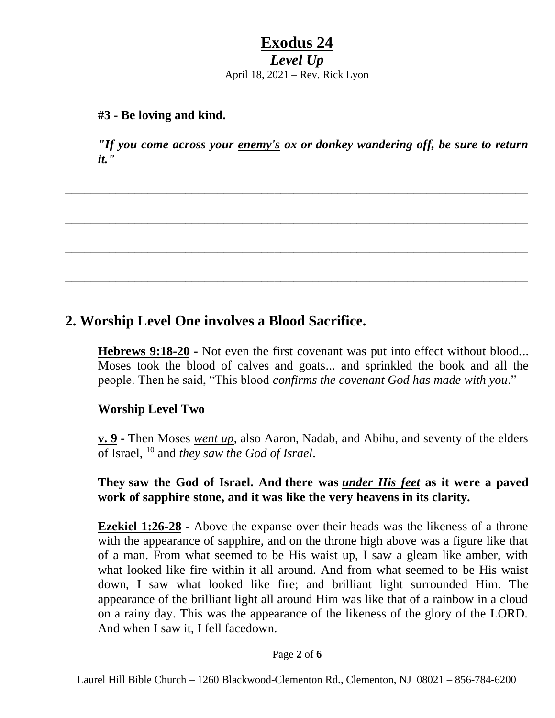*Level Up* April 18, 2021 – Rev. Rick Lyon

#### **#3 - Be loving and kind.**

*"If you come across your enemy's ox or donkey wandering off, be sure to return it."*

\_\_\_\_\_\_\_\_\_\_\_\_\_\_\_\_\_\_\_\_\_\_\_\_\_\_\_\_\_\_\_\_\_\_\_\_\_\_\_\_\_\_\_\_\_\_\_\_\_\_\_\_\_\_\_\_\_\_\_\_\_\_\_\_\_\_\_\_\_\_\_\_\_

\_\_\_\_\_\_\_\_\_\_\_\_\_\_\_\_\_\_\_\_\_\_\_\_\_\_\_\_\_\_\_\_\_\_\_\_\_\_\_\_\_\_\_\_\_\_\_\_\_\_\_\_\_\_\_\_\_\_\_\_\_\_\_\_\_\_\_\_\_\_\_\_\_

\_\_\_\_\_\_\_\_\_\_\_\_\_\_\_\_\_\_\_\_\_\_\_\_\_\_\_\_\_\_\_\_\_\_\_\_\_\_\_\_\_\_\_\_\_\_\_\_\_\_\_\_\_\_\_\_\_\_\_\_\_\_\_\_\_\_\_\_\_\_\_\_\_

\_\_\_\_\_\_\_\_\_\_\_\_\_\_\_\_\_\_\_\_\_\_\_\_\_\_\_\_\_\_\_\_\_\_\_\_\_\_\_\_\_\_\_\_\_\_\_\_\_\_\_\_\_\_\_\_\_\_\_\_\_\_\_\_\_\_\_\_\_\_\_\_\_

### **2. Worship Level One involves a Blood Sacrifice.**

**Hebrews 9:18-20 -** Not even the first covenant was put into effect without blood... Moses took the blood of calves and goats... and sprinkled the book and all the people. Then he said, "This blood *confirms the covenant God has made with you*."

### **Worship Level Two**

**v. 9 -** Then Moses *went up*, also Aaron, Nadab, and Abihu, and seventy of the elders of Israel, <sup>10</sup> and *they saw the God of Israel*.

#### **They saw the God of Israel. And there was** *under His feet* **as it were a paved work of sapphire stone, and it was like the very heavens in its clarity.**

**Ezekiel 1:26-28 -** Above the expanse over their heads was the likeness of a throne with the appearance of sapphire, and on the throne high above was a figure like that of a man. From what seemed to be His waist up, I saw a gleam like amber, with what looked like fire within it all around. And from what seemed to be His waist down, I saw what looked like fire; and brilliant light surrounded Him. The appearance of the brilliant light all around Him was like that of a rainbow in a cloud on a rainy day. This was the appearance of the likeness of the glory of the LORD. And when I saw it, I fell facedown.

Page **2** of **6**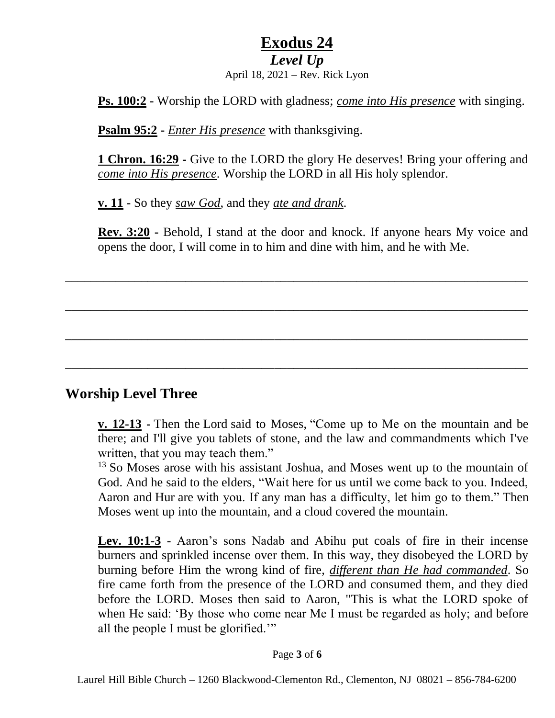### *Level Up*

April 18, 2021 – Rev. Rick Lyon

**Ps. 100:2 -** Worship the LORD with gladness; *come into His presence* with singing.

**Psalm 95:2 -** *Enter His presence* with thanksgiving.

**1 Chron. 16:29 -** Give to the LORD the glory He deserves! Bring your offering and *come into His presence*. Worship the LORD in all His holy splendor.

**v. 11 -** So they *saw God*, and they *ate and drank*.

**Rev. 3:20 -** Behold, I stand at the door and knock. If anyone hears My voice and opens the door, I will come in to him and dine with him, and he with Me.

\_\_\_\_\_\_\_\_\_\_\_\_\_\_\_\_\_\_\_\_\_\_\_\_\_\_\_\_\_\_\_\_\_\_\_\_\_\_\_\_\_\_\_\_\_\_\_\_\_\_\_\_\_\_\_\_\_\_\_\_\_\_\_\_\_\_\_\_\_\_\_\_\_

\_\_\_\_\_\_\_\_\_\_\_\_\_\_\_\_\_\_\_\_\_\_\_\_\_\_\_\_\_\_\_\_\_\_\_\_\_\_\_\_\_\_\_\_\_\_\_\_\_\_\_\_\_\_\_\_\_\_\_\_\_\_\_\_\_\_\_\_\_\_\_\_\_

\_\_\_\_\_\_\_\_\_\_\_\_\_\_\_\_\_\_\_\_\_\_\_\_\_\_\_\_\_\_\_\_\_\_\_\_\_\_\_\_\_\_\_\_\_\_\_\_\_\_\_\_\_\_\_\_\_\_\_\_\_\_\_\_\_\_\_\_\_\_\_\_\_

\_\_\_\_\_\_\_\_\_\_\_\_\_\_\_\_\_\_\_\_\_\_\_\_\_\_\_\_\_\_\_\_\_\_\_\_\_\_\_\_\_\_\_\_\_\_\_\_\_\_\_\_\_\_\_\_\_\_\_\_\_\_\_\_\_\_\_\_\_\_\_\_\_

### **Worship Level Three**

**v. 12-13 -** Then the Lord said to Moses, "Come up to Me on the mountain and be there; and I'll give you tablets of stone, and the law and commandments which I've written, that you may teach them."

<sup>13</sup> So Moses arose with his assistant Joshua, and Moses went up to the mountain of God. And he said to the elders, "Wait here for us until we come back to you. Indeed, Aaron and Hur are with you. If any man has a difficulty, let him go to them." Then Moses went up into the mountain, and a cloud covered the mountain.

**Lev. 10:1-3 -** Aaron's sons Nadab and Abihu put coals of fire in their incense burners and sprinkled incense over them. In this way, they disobeyed the LORD by burning before Him the wrong kind of fire, *different than He had commanded*. So fire came forth from the presence of the LORD and consumed them, and they died before the LORD. Moses then said to Aaron, "This is what the LORD spoke of when He said: 'By those who come near Me I must be regarded as holy; and before all the people I must be glorified.'"

#### Page **3** of **6**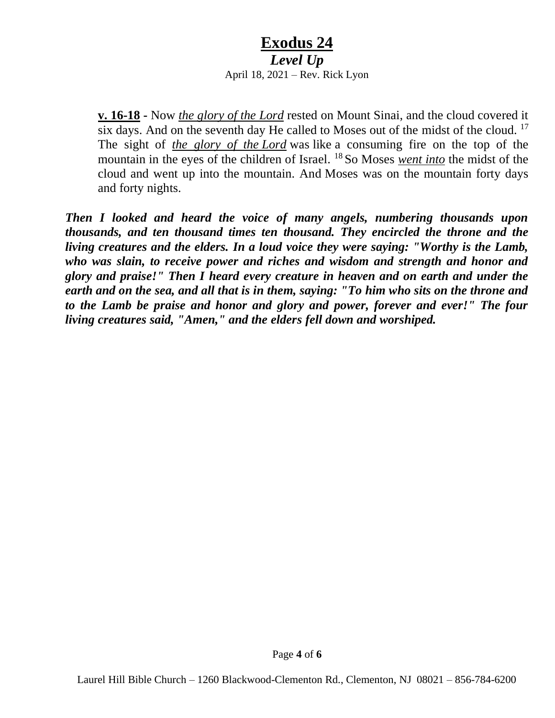*Level Up*

April 18, 2021 – Rev. Rick Lyon

**v. 16-18 -** Now *the glory of the Lord* rested on Mount Sinai, and the cloud covered it six days. And on the seventh day He called to Moses out of the midst of the cloud. <sup>17</sup> The sight of *the glory of the Lord* was like a consuming fire on the top of the mountain in the eyes of the children of Israel. <sup>18</sup> So Moses *went into* the midst of the cloud and went up into the mountain. And Moses was on the mountain forty days and forty nights.

*Then I looked and heard the voice of many angels, numbering thousands upon thousands, and ten thousand times ten thousand. They encircled the throne and the living creatures and the elders. In a loud voice they were saying: "Worthy is the Lamb, who was slain, to receive power and riches and wisdom and strength and honor and glory and praise!" Then I heard every creature in heaven and on earth and under the earth and on the sea, and all that is in them, saying: "To him who sits on the throne and to the Lamb be praise and honor and glory and power, forever and ever!" The four living creatures said, "Amen," and the elders fell down and worshiped.*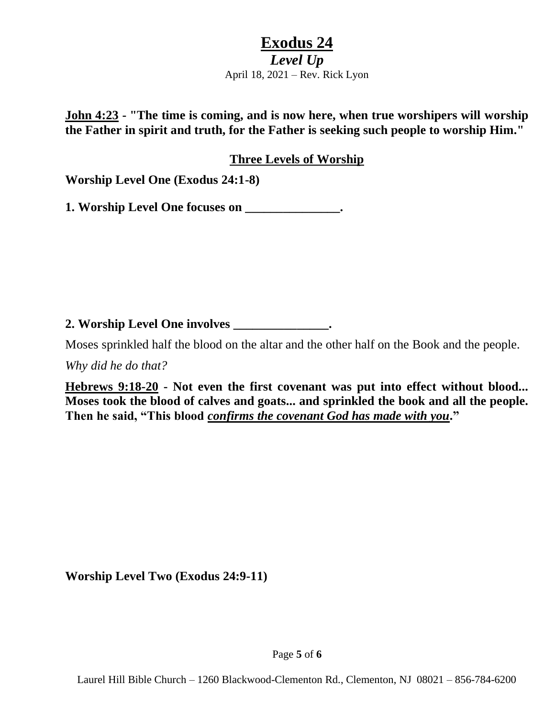*Level Up* April 18, 2021 – Rev. Rick Lyon

**John 4:23 - "The time is coming, and is now here, when true worshipers will worship the Father in spirit and truth, for the Father is seeking such people to worship Him."**

**Three Levels of Worship**

**Worship Level One (Exodus 24:1-8)**

**1. Worship Level One focuses on \_\_\_\_\_\_\_\_\_\_\_\_\_\_\_.**

**2. Worship Level One involves \_\_\_\_\_\_\_\_\_\_\_\_\_\_\_.**

Moses sprinkled half the blood on the altar and the other half on the Book and the people.

*Why did he do that?*

**Hebrews 9:18-20 - Not even the first covenant was put into effect without blood... Moses took the blood of calves and goats... and sprinkled the book and all the people. Then he said, "This blood** *confirms the covenant God has made with you***."** 

**Worship Level Two (Exodus 24:9-11)**